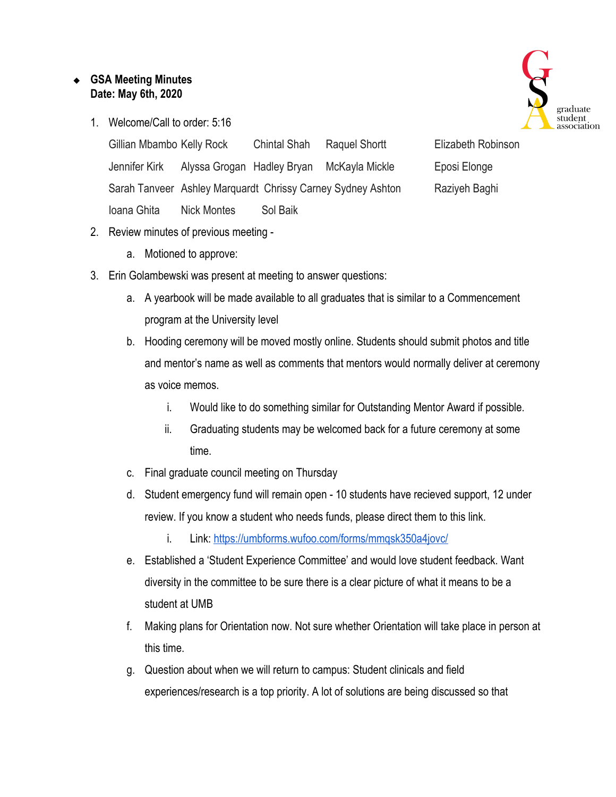## ❖ **GSA Meeting Minutes Date: May 6th, 2020**

1. Welcome/Call to order: 5:16



Gillian Mbambo Kelly Rock Chintal Shah Raquel Shortt Elizabeth Robinson Jennifer Kirk Alyssa Grogan Hadley Bryan McKayla Mickle Eposi Elonge Sarah Tanveer Ashley Marguardt Chrissy Carney Sydney Ashton Raziyeh Baghi Ioana Ghita Nick Montes Sol Baik

- 2. Review minutes of previous meeting
	- a. Motioned to approve:
- 3. Erin Golambewski was present at meeting to answer questions:
	- a. A yearbook will be made available to all graduates that is similar to a Commencement program at the University level
	- b. Hooding ceremony will be moved mostly online. Students should submit photos and title and mentor's name as well as comments that mentors would normally deliver at ceremony as voice memos.
		- i. Would like to do something similar for Outstanding Mentor Award if possible.
		- ii. Graduating students may be welcomed back for a future ceremony at some time.
	- c. Final graduate council meeting on Thursday
	- d. Student emergency fund will remain open 10 students have recieved support, 12 under review. If you know a student who needs funds, please direct them to this link.
		- i. Link:<https://umbforms.wufoo.com/forms/mmqsk350a4jovc/>
	- e. Established a 'Student Experience Committee' and would love student feedback. Want diversity in the committee to be sure there is a clear picture of what it means to be a student at UMB
	- f. Making plans for Orientation now. Not sure whether Orientation will take place in person at this time.
	- g. Question about when we will return to campus: Student clinicals and field experiences/research is a top priority. A lot of solutions are being discussed so that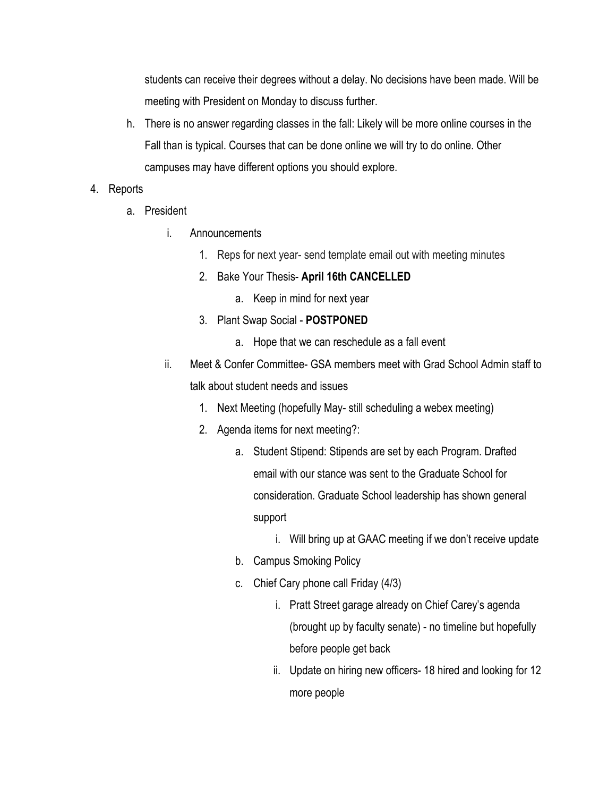students can receive their degrees without a delay. No decisions have been made. Will be meeting with President on Monday to discuss further.

h. There is no answer regarding classes in the fall: Likely will be more online courses in the Fall than is typical. Courses that can be done online we will try to do online. Other campuses may have different options you should explore.

## 4. Reports

- a. President
	- i. Announcements
		- 1. Reps for next year- send template email out with meeting minutes
		- 2. Bake Your Thesis- **April 16th CANCELLED**
			- a. Keep in mind for next year
		- 3. Plant Swap Social **POSTPONED**
			- a. Hope that we can reschedule as a fall event
	- ii. Meet & Confer Committee- GSA members meet with Grad School Admin staff to talk about student needs and issues
		- 1. Next Meeting (hopefully May- still scheduling a webex meeting)
		- 2. Agenda items for next meeting?:
			- a. Student Stipend: Stipends are set by each Program. Drafted email with our stance was sent to the Graduate School for consideration. Graduate School leadership has shown general support
				- i. Will bring up at GAAC meeting if we don't receive update
			- b. Campus Smoking Policy
			- c. Chief Cary phone call Friday (4/3)
				- i. Pratt Street garage already on Chief Carey's agenda (brought up by faculty senate) - no timeline but hopefully before people get back
				- ii. Update on hiring new officers- 18 hired and looking for 12 more people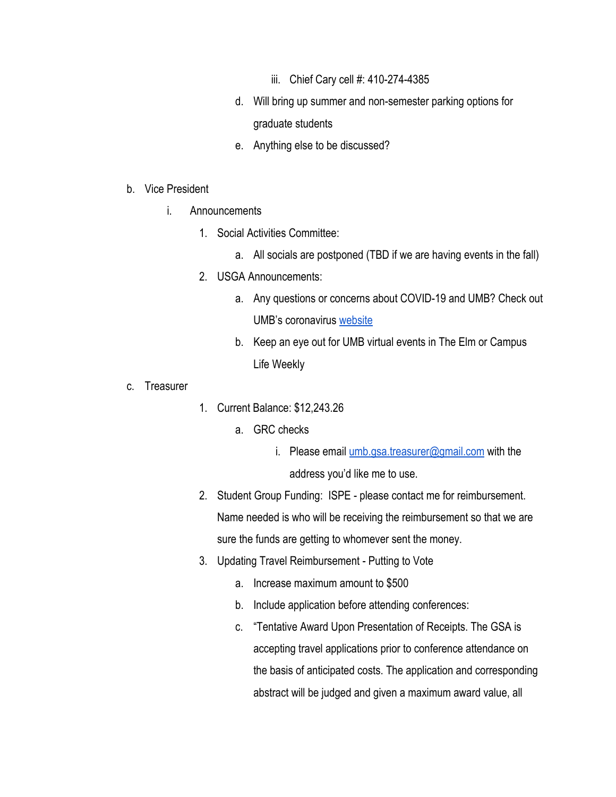- iii. Chief Cary cell #: 410-274-4385
- d. Will bring up summer and non-semester parking options for graduate students
- e. Anything else to be discussed?

## b. Vice President

- i. Announcements
	- 1. Social Activities Committee:
		- a. All socials are postponed (TBD if we are having events in the fall)
	- 2. USGA Announcements:
		- a. Any questions or concerns about COVID-19 and UMB? Check out UMB's coronavirus [website](https://www.umaryland.edu/coronavirus/)
		- b. Keep an eye out for UMB virtual events in The Elm or Campus Life Weekly
- c. Treasurer
- 1. Current Balance: \$12,243.26
	- a. GRC checks
		- i. Please email [umb.gsa.treasurer@gmail.com](mailto:umb.gsa.treasurer@gmail.com) with the address you'd like me to use.
- 2. Student Group Funding: ISPE please contact me for reimbursement. Name needed is who will be receiving the reimbursement so that we are sure the funds are getting to whomever sent the money.
- 3. Updating Travel Reimbursement Putting to Vote
	- a. Increase maximum amount to \$500
	- b. Include application before attending conferences:
	- c. "Tentative Award Upon Presentation of Receipts. The GSA is accepting travel applications prior to conference attendance on the basis of anticipated costs. The application and corresponding abstract will be judged and given a maximum award value, all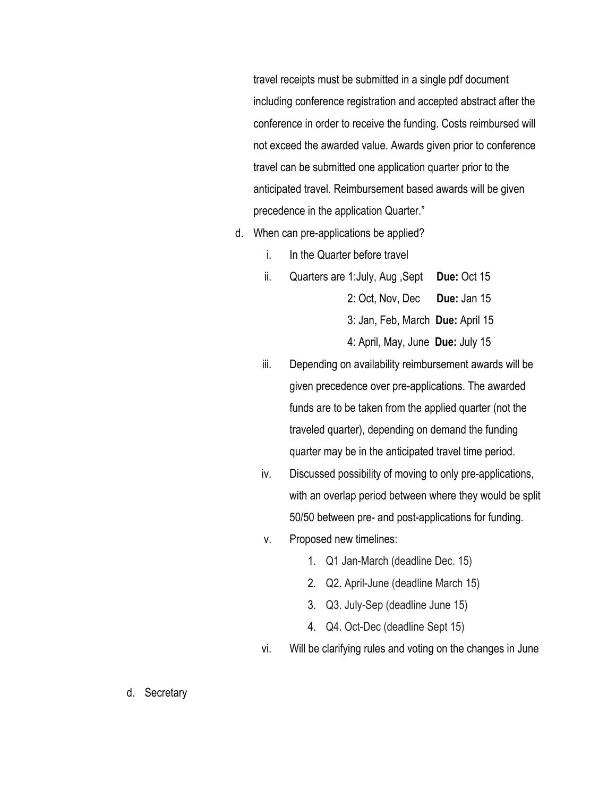travel receipts must be submitted in a single pdf document including conference registration and accepted abstract after the conference in order to receive the funding. Costs reimbursed will not exceed the awarded value. Awards given prior to conference travel can be submitted one application quarter prior to the anticipated travel. Reimbursement based awards will be given precedence in the application Quarter."

- d. When can pre-applications be applied?
	- i. In the Quarter before travel
	- ii. Quarters are 1:July, Aug ,Sept **Due:** Oct 15

2: Oct, Nov, Dec **Due:** Jan 15

3: Jan, Feb, March **Due:** April 15

4: April, May, June **Due:** July 15

- iii. Depending on availability reimbursement awards will be given precedence over pre-applications. The awarded funds are to be taken from the applied quarter (not the traveled quarter), depending on demand the funding quarter may be in the anticipated travel time period.
- iv. Discussed possibility of moving to only pre-applications, with an overlap period between where they would be split 50/50 between pre- and post-applications for funding.
- v. Proposed new timelines:
	- 1. Q1 Jan-March (deadline Dec. 15)
	- 2. Q2. April-June (deadline March 15)
	- 3. Q3. July-Sep (deadline June 15)
	- 4. Q4. Oct-Dec (deadline Sept 15)
- vi. Will be clarifying rules and voting on the changes in June
- d. Secretary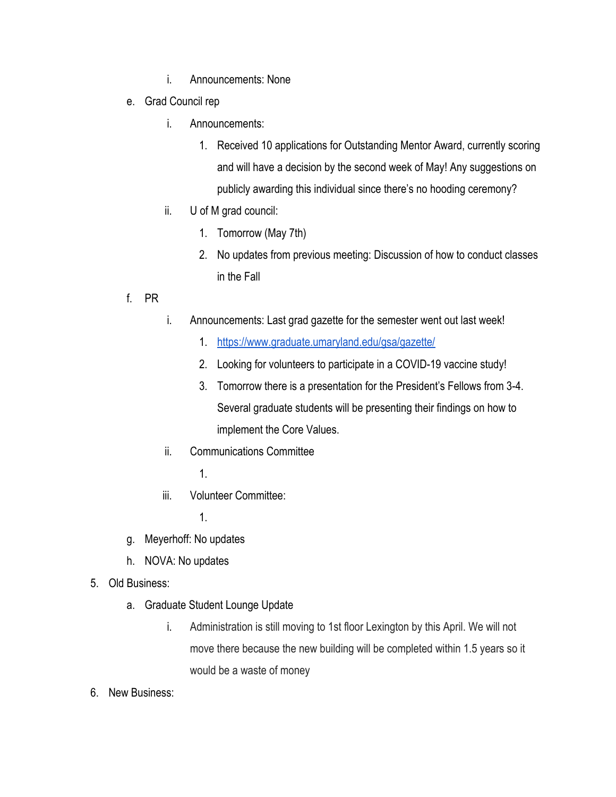- i. Announcements: None
- e. Grad Council rep
	- i. Announcements:
		- 1. Received 10 applications for Outstanding Mentor Award, currently scoring and will have a decision by the second week of May! Any suggestions on publicly awarding this individual since there's no hooding ceremony?
	- ii. U of M grad council:
		- 1. Tomorrow (May 7th)
		- 2. No updates from previous meeting: Discussion of how to conduct classes in the Fall
- f. PR
- i. Announcements: Last grad gazette for the semester went out last week!
	- 1. <https://www.graduate.umaryland.edu/gsa/gazette/>
	- 2. Looking for volunteers to participate in a COVID-19 vaccine study!
	- 3. Tomorrow there is a presentation for the President's Fellows from 3-4. Several graduate students will be presenting their findings on how to implement the Core Values.
- ii. Communications Committee
	- 1.
- iii. Volunteer Committee:
	- 1.
- g. Meyerhoff: No updates
- h. NOVA: No updates
- 5. Old Business:
	- a. Graduate Student Lounge Update
		- i. Administration is still moving to 1st floor Lexington by this April. We will not move there because the new building will be completed within 1.5 years so it would be a waste of money
- 6. New Business: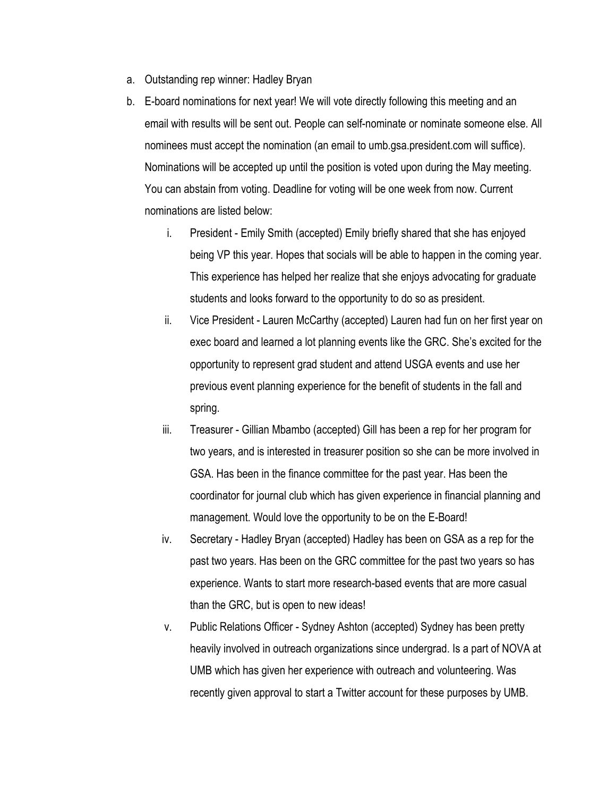- a. Outstanding rep winner: Hadley Bryan
- b. E-board nominations for next year! We will vote directly following this meeting and an email with results will be sent out. People can self-nominate or nominate someone else. All nominees must accept the nomination (an email to umb.gsa.president.com will suffice). Nominations will be accepted up until the position is voted upon during the May meeting. You can abstain from voting. Deadline for voting will be one week from now. Current nominations are listed below:
	- i. President Emily Smith (accepted) Emily briefly shared that she has enjoyed being VP this year. Hopes that socials will be able to happen in the coming year. This experience has helped her realize that she enjoys advocating for graduate students and looks forward to the opportunity to do so as president.
	- ii. Vice President Lauren McCarthy (accepted) Lauren had fun on her first year on exec board and learned a lot planning events like the GRC. She's excited for the opportunity to represent grad student and attend USGA events and use her previous event planning experience for the benefit of students in the fall and spring.
	- iii. Treasurer Gillian Mbambo (accepted) Gill has been a rep for her program for two years, and is interested in treasurer position so she can be more involved in GSA. Has been in the finance committee for the past year. Has been the coordinator for journal club which has given experience in financial planning and management. Would love the opportunity to be on the E-Board!
	- iv. Secretary Hadley Bryan (accepted) Hadley has been on GSA as a rep for the past two years. Has been on the GRC committee for the past two years so has experience. Wants to start more research-based events that are more casual than the GRC, but is open to new ideas!
	- v. Public Relations Officer Sydney Ashton (accepted) Sydney has been pretty heavily involved in outreach organizations since undergrad. Is a part of NOVA at UMB which has given her experience with outreach and volunteering. Was recently given approval to start a Twitter account for these purposes by UMB.